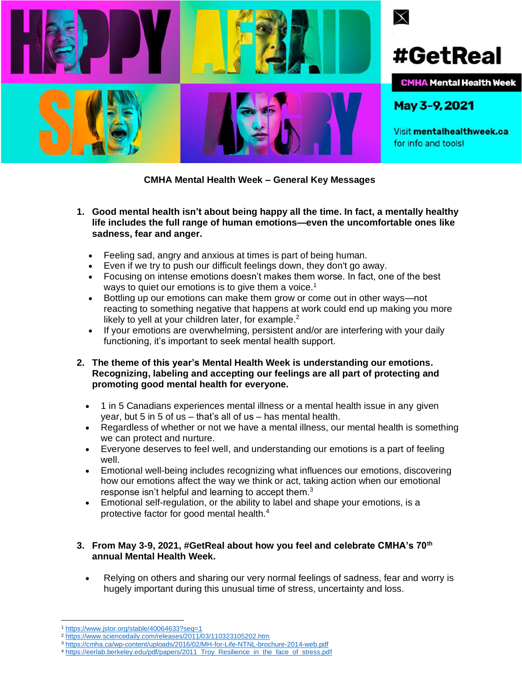

## **CMHA Mental Health Week – General Key Messages**

- **1. Good mental health isn't about being happy all the time. In fact, a mentally healthy life includes the full range of human emotions—even the uncomfortable ones like sadness, fear and anger.**
	- Feeling sad, angry and anxious at times is part of being human.
	- Even if we try to push our difficult feelings down, they don't go away.
	- Focusing on intense emotions doesn't makes them worse. In fact, one of the best ways to quiet our emotions is to give them a voice.<sup>1</sup>
	- Bottling up our emotions can make them grow or come out in other ways—not reacting to something negative that happens at work could end up making you more likely to yell at your children later, for example. $2$
	- If your emotions are overwhelming, persistent and/or are interfering with your daily functioning, it's important to seek mental health support.
- **2. The theme of this year's Mental Health Week is understanding our emotions. Recognizing, labeling and accepting our feelings are all part of protecting and promoting good mental health for everyone.**
	- 1 in 5 Canadians experiences mental illness or a mental health issue in any given year, but 5 in 5 of us – that's all of us – has mental health.
	- Regardless of whether or not we have a mental illness, our mental health is something we can protect and nurture.
	- Everyone deserves to feel well, and understanding our emotions is a part of feeling well.
	- Emotional well-being includes recognizing what influences our emotions, discovering how our emotions affect the way we think or act, taking action when our emotional response isn't helpful and learning to accept them.<sup>3</sup>
	- Emotional self-regulation, or the ability to label and shape your emotions, is a protective factor for good mental health.<sup>4</sup>

## **3. From May 3-9, 2021, #GetReal about how you feel and celebrate CMHA's 70th annual Mental Health Week.**

• Relying on others and sharing our very normal feelings of sadness, fear and worry is hugely important during this unusual time of stress, uncertainty and loss.

<sup>1</sup> <https://www.jstor.org/stable/40064633?seq=1>

<sup>2</sup> <https://www.sciencedaily.com/releases/2011/03/110323105202.htm>

<sup>3</sup> <https://cmha.ca/wp-content/uploads/2016/02/MH-for-Life-NTNL-brochure-2014-web.pdf>

<sup>4</sup> [https://eerlab.berkeley.edu/pdf/papers/2011\\_Troy\\_Resilience\\_in\\_the\\_face\\_of\\_stress.pdf](https://eerlab.berkeley.edu/pdf/papers/2011_Troy_Resilience_in_the_face_of_stress.pdf)